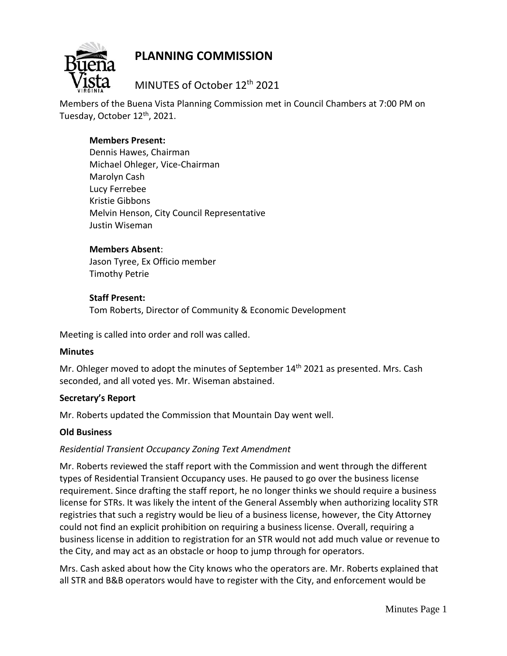

# **PLANNING COMMISSION**

MINUTES of October 12th 2021

Members of the Buena Vista Planning Commission met in Council Chambers at 7:00 PM on Tuesday, October 12<sup>th</sup>, 2021.

## **Members Present:**

Dennis Hawes, Chairman Michael Ohleger, Vice-Chairman Marolyn Cash Lucy Ferrebee Kristie Gibbons Melvin Henson, City Council Representative Justin Wiseman

## **Members Absent**:

Jason Tyree, Ex Officio member Timothy Petrie

## **Staff Present:**

Tom Roberts, Director of Community & Economic Development

Meeting is called into order and roll was called.

#### **Minutes**

Mr. Ohleger moved to adopt the minutes of September 14<sup>th</sup> 2021 as presented. Mrs. Cash seconded, and all voted yes. Mr. Wiseman abstained.

## **Secretary's Report**

Mr. Roberts updated the Commission that Mountain Day went well.

#### **Old Business**

## *Residential Transient Occupancy Zoning Text Amendment*

Mr. Roberts reviewed the staff report with the Commission and went through the different types of Residential Transient Occupancy uses. He paused to go over the business license requirement. Since drafting the staff report, he no longer thinks we should require a business license for STRs. It was likely the intent of the General Assembly when authorizing locality STR registries that such a registry would be lieu of a business license, however, the City Attorney could not find an explicit prohibition on requiring a business license. Overall, requiring a business license in addition to registration for an STR would not add much value or revenue to the City, and may act as an obstacle or hoop to jump through for operators.

Mrs. Cash asked about how the City knows who the operators are. Mr. Roberts explained that all STR and B&B operators would have to register with the City, and enforcement would be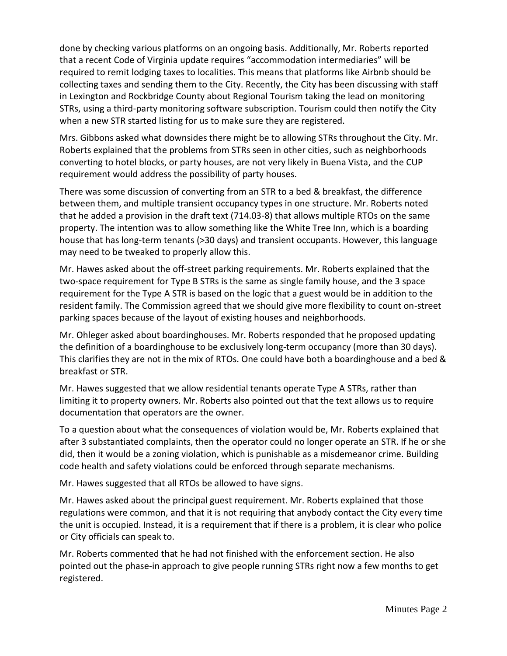done by checking various platforms on an ongoing basis. Additionally, Mr. Roberts reported that a recent Code of Virginia update requires "accommodation intermediaries" will be required to remit lodging taxes to localities. This means that platforms like Airbnb should be collecting taxes and sending them to the City. Recently, the City has been discussing with staff in Lexington and Rockbridge County about Regional Tourism taking the lead on monitoring STRs, using a third-party monitoring software subscription. Tourism could then notify the City when a new STR started listing for us to make sure they are registered.

Mrs. Gibbons asked what downsides there might be to allowing STRs throughout the City. Mr. Roberts explained that the problems from STRs seen in other cities, such as neighborhoods converting to hotel blocks, or party houses, are not very likely in Buena Vista, and the CUP requirement would address the possibility of party houses.

There was some discussion of converting from an STR to a bed & breakfast, the difference between them, and multiple transient occupancy types in one structure. Mr. Roberts noted that he added a provision in the draft text (714.03-8) that allows multiple RTOs on the same property. The intention was to allow something like the White Tree Inn, which is a boarding house that has long-term tenants (>30 days) and transient occupants. However, this language may need to be tweaked to properly allow this.

Mr. Hawes asked about the off-street parking requirements. Mr. Roberts explained that the two-space requirement for Type B STRs is the same as single family house, and the 3 space requirement for the Type A STR is based on the logic that a guest would be in addition to the resident family. The Commission agreed that we should give more flexibility to count on-street parking spaces because of the layout of existing houses and neighborhoods.

Mr. Ohleger asked about boardinghouses. Mr. Roberts responded that he proposed updating the definition of a boardinghouse to be exclusively long-term occupancy (more than 30 days). This clarifies they are not in the mix of RTOs. One could have both a boardinghouse and a bed & breakfast or STR.

Mr. Hawes suggested that we allow residential tenants operate Type A STRs, rather than limiting it to property owners. Mr. Roberts also pointed out that the text allows us to require documentation that operators are the owner.

To a question about what the consequences of violation would be, Mr. Roberts explained that after 3 substantiated complaints, then the operator could no longer operate an STR. If he or she did, then it would be a zoning violation, which is punishable as a misdemeanor crime. Building code health and safety violations could be enforced through separate mechanisms.

Mr. Hawes suggested that all RTOs be allowed to have signs.

Mr. Hawes asked about the principal guest requirement. Mr. Roberts explained that those regulations were common, and that it is not requiring that anybody contact the City every time the unit is occupied. Instead, it is a requirement that if there is a problem, it is clear who police or City officials can speak to.

Mr. Roberts commented that he had not finished with the enforcement section. He also pointed out the phase-in approach to give people running STRs right now a few months to get registered.